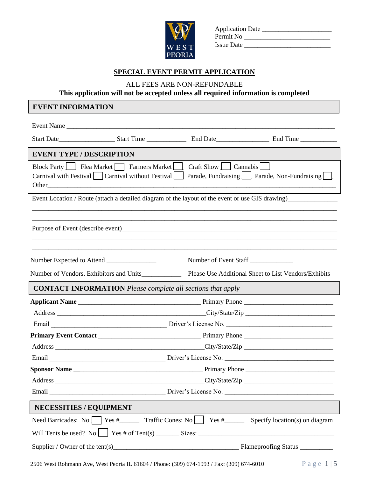

| <b>Application Date</b> |  |
|-------------------------|--|
| Permit No               |  |
| <b>Issue Date</b>       |  |

# **SPECIAL EVENT PERMIT APPLICATION**

ALL FEES ARE NON-REFUNDABLE

**This application will not be accepted unless all required information is completed**

# **EVENT INFORMATION**

|                                                                                                  | Event Name                                                                                       |                                                                    |                                                                                                |  |
|--------------------------------------------------------------------------------------------------|--------------------------------------------------------------------------------------------------|--------------------------------------------------------------------|------------------------------------------------------------------------------------------------|--|
|                                                                                                  |                                                                                                  |                                                                    |                                                                                                |  |
| <b>EVENT TYPE / DESCRIPTION</b>                                                                  |                                                                                                  |                                                                    |                                                                                                |  |
|                                                                                                  | Block Party   Flea Market   Farmers Market<br>Carnival with Festival   Carnival without Festival | Craft Show   Cannabis                                              | Parade, Fundraising Parade, Non-Fundraising                                                    |  |
| Event Location / Route (attach a detailed diagram of the layout of the event or use GIS drawing) |                                                                                                  |                                                                    |                                                                                                |  |
|                                                                                                  |                                                                                                  |                                                                    |                                                                                                |  |
|                                                                                                  |                                                                                                  | Number of Event Staff                                              |                                                                                                |  |
|                                                                                                  | Number of Vendors, Exhibitors and Units                                                          |                                                                    | Please Use Additional Sheet to List Vendors/Exhibits                                           |  |
|                                                                                                  |                                                                                                  | <b>CONTACT INFORMATION</b> Please complete all sections that apply |                                                                                                |  |
|                                                                                                  |                                                                                                  |                                                                    |                                                                                                |  |
|                                                                                                  |                                                                                                  |                                                                    |                                                                                                |  |
|                                                                                                  |                                                                                                  |                                                                    |                                                                                                |  |
|                                                                                                  |                                                                                                  |                                                                    |                                                                                                |  |
|                                                                                                  |                                                                                                  |                                                                    |                                                                                                |  |
|                                                                                                  |                                                                                                  |                                                                    |                                                                                                |  |
|                                                                                                  |                                                                                                  |                                                                    |                                                                                                |  |
|                                                                                                  |                                                                                                  |                                                                    |                                                                                                |  |
|                                                                                                  |                                                                                                  |                                                                    |                                                                                                |  |
| <b>NECESSITIES / EQUIPMENT</b>                                                                   |                                                                                                  |                                                                    |                                                                                                |  |
|                                                                                                  |                                                                                                  |                                                                    | Need Barricades: No $\Box$ Yes # Traffic Cones: No $\Box$ Yes # Specify location(s) on diagram |  |
|                                                                                                  |                                                                                                  |                                                                    | Will Tents be used? No $\Box$ Yes # of Tent(s) $\Box$ Sizes: $\Box$                            |  |
|                                                                                                  |                                                                                                  |                                                                    |                                                                                                |  |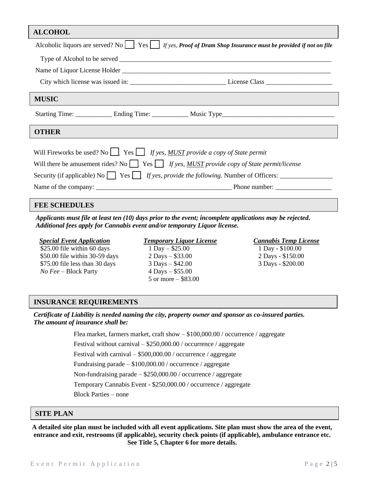| <b>ALCOHOL</b>                                                                                                                                                                                                                                                                                               |  |  |  |  |
|--------------------------------------------------------------------------------------------------------------------------------------------------------------------------------------------------------------------------------------------------------------------------------------------------------------|--|--|--|--|
| Alcoholic liquors are served? No $\Box$ Yes $\Box$ If yes, Proof of Dram Shop Insurance must be provided if not on file                                                                                                                                                                                      |  |  |  |  |
|                                                                                                                                                                                                                                                                                                              |  |  |  |  |
|                                                                                                                                                                                                                                                                                                              |  |  |  |  |
|                                                                                                                                                                                                                                                                                                              |  |  |  |  |
| <b>MUSIC</b>                                                                                                                                                                                                                                                                                                 |  |  |  |  |
|                                                                                                                                                                                                                                                                                                              |  |  |  |  |
| <b>OTHER</b>                                                                                                                                                                                                                                                                                                 |  |  |  |  |
| Will Fireworks be used? No $\Box$ Yes $\Box$ If yes, MUST provide a copy of State permit<br>Will there be amusement rides? No $\Box$ Yes $\Box$ If yes, MUST provide copy of State permit/license<br>Security (if applicable) No $\Box$ Yes $\Box$ If yes, provide the following. Number of Officers: $\Box$ |  |  |  |  |
|                                                                                                                                                                                                                                                                                                              |  |  |  |  |

### **FEE SCHEDULES**

*Applicants must file at least ten (10) days prior to the event; incomplete applications may be rejected. Additional fees apply for Cannabis event and/or temporary Liquor license.*

### *Special Event Application*

 \$25.00 file within 60 days \$50.00 file within 30-59 days \$75.00 file less than 30 days *No Fee* – Block Party

#### *Temporary Liquor License*

 1 Day – \$25.00 2 Days – \$33.00 3 Days – \$42.00 4 Days – \$55.00 5 or more – \$83.00  *Cannabis Temp License* 1 Day - \$100.00 2 Days - \$150.00 3 Days - \$200.00

#### **INSURANCE REQUIREMENTS**

 *Certificate of Liability is needed naming the city, property owner and sponsor as co-insured parties. The amount of insurance shall be:*

Flea market, farmers market, craft show – \$100,000.00 / occurrence / aggregate

Festival without carnival – \$250,000.00 / occurrence / aggregate

Festival with carnival – \$500,000.00 / occurrence / aggregate

Fundraising parade – \$100,000.00 / occurrence / aggregate

Non-fundraising parade – \$250,000.00 / occurrence / aggregate

Temporary Cannabis Event - \$250,000.00 / occurrence / aggregate

Block Parties – none

## **SITE PLAN**

**A detailed site plan must be included with all event applications. Site plan must show the area of the event, entrance and exit, restrooms (if applicable), security check points (if applicable), ambulance entrance etc. See Title 5, Chapter 6 for more details.**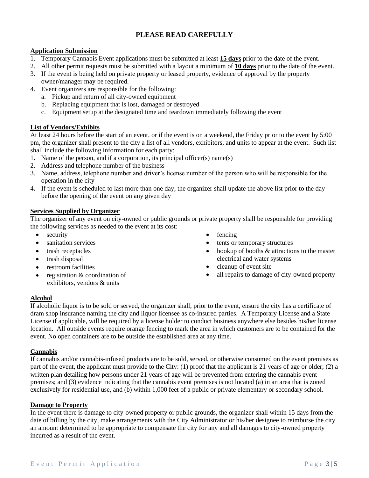# **PLEASE READ CAREFULLY**

### **Application Submission**

- 1. Temporary Cannabis Event applications must be submitted at least **15 days** prior to the date of the event.
- 2. All other permit requests must be submitted with a layout a minimum of **10 days** prior to the date of the event.
- 3. If the event is being held on private property or leased property, evidence of approval by the property owner/manager may be required.
- 4. Event organizers are responsible for the following:
	- a. Pickup and return of all city-owned equipment
	- b. Replacing equipment that is lost, damaged or destroyed
	- c. Equipment setup at the designated time and teardown immediately following the event

### **List of Vendors/Exhibits**

At least 24 hours before the start of an event, or if the event is on a weekend, the Friday prior to the event by 5:00 pm, the organizer shall present to the city a list of all vendors, exhibitors, and units to appear at the event. Such list shall include the following information for each party:

- 1. Name of the person, and if a corporation, its principal officer(s) name(s)
- 2. Address and telephone number of the business
- 3. Name, address, telephone number and driver's license number of the person who will be responsible for the operation in the city
- 4. If the event is scheduled to last more than one day, the organizer shall update the above list prior to the day before the opening of the event on any given day

### **Services Supplied by Organizer**

The organizer of any event on city-owned or public grounds or private property shall be responsible for providing the following services as needed to the event at its cost:

- security
- sanitation services
- trash receptacles
- trash disposal
- restroom facilities
- registration & coordination of exhibitors, vendors & units
- fencing
- tents or temporary structures
- hookup of booths & attractions to the master electrical and water systems
- cleanup of event site
- all repairs to damage of city-owned property

#### **Alcohol**

If alcoholic liquor is to be sold or served, the organizer shall, prior to the event, ensure the city has a certificate of dram shop insurance naming the city and liquor licensee as co-insured parties. A Temporary License and a State License if applicable, will be required by a license holder to conduct business anywhere else besides his/her license location. All outside events require orange fencing to mark the area in which customers are to be contained for the event. No open containers are to be outside the established area at any time.

#### **Cannabis**

If cannabis and/or cannabis-infused products are to be sold, served, or otherwise consumed on the event premises as part of the event, the applicant must provide to the City: (1) proof that the applicant is 21 years of age or older; (2) a written plan detailing how persons under 21 years of age will be prevented from entering the cannabis event premises; and (3) evidence indicating that the cannabis event premises is not located (a) in an area that is zoned exclusively for residential use, and (b) within 1,000 feet of a public or private elementary or secondary school.

#### **Damage to Property**

In the event there is damage to city-owned property or public grounds, the organizer shall within 15 days from the date of billing by the city, make arrangements with the City Administrator or his/her designee to reimburse the city an amount determined to be appropriate to compensate the city for any and all damages to city-owned property incurred as a result of the event.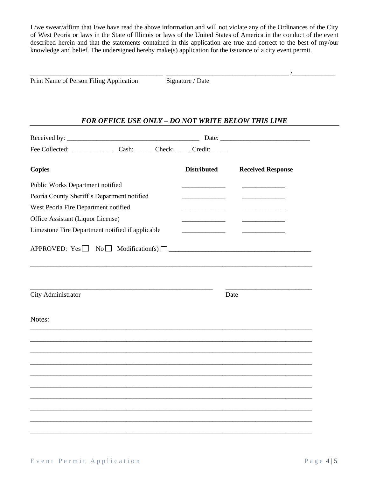I /we swear/affirm that I/we have read the above information and will not violate any of the Ordinances of the City of West Peoria or laws in the State of Illinois or laws of the United States of America in the conduct of the event described herein and that the statements contained in this application are true and correct to the best of my/our knowledge and belief. The undersigned hereby make(s) application for the issuance of a city event permit.

Print Name of Person Filing Application Signature / Date

\_\_\_\_\_\_\_\_\_\_\_\_\_\_\_\_\_\_\_\_\_\_\_\_\_\_\_\_\_\_\_\_\_\_\_\_\_\_\_\_ \_\_\_\_\_\_\_\_\_\_\_\_\_\_\_\_\_\_\_\_\_\_\_\_\_\_\_\_\_\_\_\_\_\_\_\_\_ /\_\_\_\_\_\_\_\_\_\_\_\_\_

# *FOR OFFICE USE ONLY – DO NOT WRITE BELOW THIS LINE*

|                                                  | Fee Collected: Cash: Cash: Check: Credit:             |                    |                          |
|--------------------------------------------------|-------------------------------------------------------|--------------------|--------------------------|
| <b>Copies</b>                                    |                                                       | <b>Distributed</b> | <b>Received Response</b> |
| Public Works Department notified                 |                                                       |                    |                          |
| Peoria County Sheriff's Department notified      |                                                       |                    |                          |
| West Peoria Fire Department notified             |                                                       |                    |                          |
| Office Assistant (Liquor License)                |                                                       |                    |                          |
| Limestone Fire Department notified if applicable |                                                       |                    |                          |
|                                                  | APPROVED: Yes $\Box$ No $\Box$ Modification(s) $\Box$ |                    |                          |
| City Administrator                               |                                                       |                    | Date                     |
| Notes:                                           |                                                       |                    |                          |
|                                                  |                                                       |                    |                          |
|                                                  |                                                       |                    |                          |
|                                                  |                                                       |                    |                          |
|                                                  |                                                       |                    |                          |
|                                                  |                                                       |                    |                          |
|                                                  |                                                       |                    |                          |
|                                                  |                                                       |                    |                          |
|                                                  |                                                       |                    |                          |
|                                                  |                                                       |                    |                          |